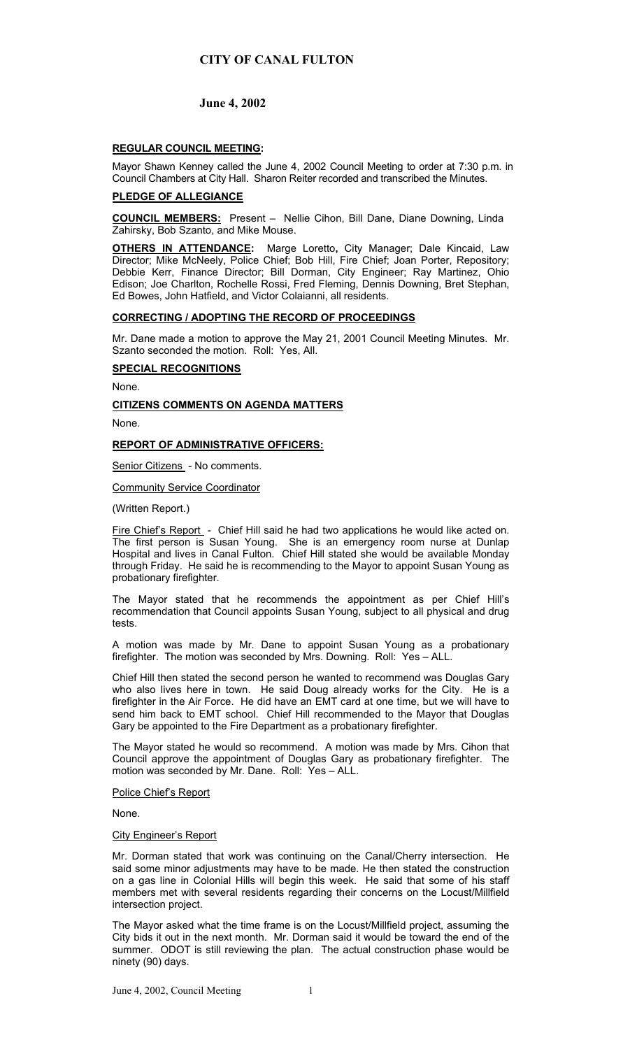# **CITY OF CANAL FULTON**

# **June 4, 2002**

# **REGULAR COUNCIL MEETING:**

Mayor Shawn Kenney called the June 4, 2002 Council Meeting to order at 7:30 p.m. in Council Chambers at City Hall. Sharon Reiter recorded and transcribed the Minutes.

## **PLEDGE OF ALLEGIANCE**

**COUNCIL MEMBERS:** Present – Nellie Cihon, Bill Dane, Diane Downing, Linda Zahirsky, Bob Szanto, and Mike Mouse.

**OTHERS IN ATTENDANCE:** Marge Loretto**,** City Manager; Dale Kincaid, Law Director; Mike McNeely, Police Chief; Bob Hill, Fire Chief; Joan Porter, Repository; Debbie Kerr, Finance Director; Bill Dorman, City Engineer; Ray Martinez, Ohio Edison; Joe Charlton, Rochelle Rossi, Fred Fleming, Dennis Downing, Bret Stephan, Ed Bowes, John Hatfield, and Victor Colaianni, all residents.

### **CORRECTING / ADOPTING THE RECORD OF PROCEEDINGS**

Mr. Dane made a motion to approve the May 21, 2001 Council Meeting Minutes. Mr. Szanto seconded the motion. Roll: Yes, All.

# **SPECIAL RECOGNITIONS**

None.

### **CITIZENS COMMENTS ON AGENDA MATTERS**

None.

## **REPORT OF ADMINISTRATIVE OFFICERS:**

Senior Citizens - No comments.

### Community Service Coordinator

(Written Report.)

Fire Chief's Report - Chief Hill said he had two applications he would like acted on. The first person is Susan Young. She is an emergency room nurse at Dunlap Hospital and lives in Canal Fulton. Chief Hill stated she would be available Monday through Friday. He said he is recommending to the Mayor to appoint Susan Young as probationary firefighter.

The Mayor stated that he recommends the appointment as per Chief Hill's recommendation that Council appoints Susan Young, subject to all physical and drug tests.

A motion was made by Mr. Dane to appoint Susan Young as a probationary firefighter. The motion was seconded by Mrs. Downing. Roll: Yes – ALL.

Chief Hill then stated the second person he wanted to recommend was Douglas Gary who also lives here in town. He said Doug already works for the City. He is a firefighter in the Air Force. He did have an EMT card at one time, but we will have to send him back to EMT school. Chief Hill recommended to the Mayor that Douglas Gary be appointed to the Fire Department as a probationary firefighter.

The Mayor stated he would so recommend. A motion was made by Mrs. Cihon that Council approve the appointment of Douglas Gary as probationary firefighter. The motion was seconded by Mr. Dane. Roll: Yes – ALL.

#### Police Chief's Report

None.

#### City Engineer's Report

Mr. Dorman stated that work was continuing on the Canal/Cherry intersection. He said some minor adjustments may have to be made. He then stated the construction on a gas line in Colonial Hills will begin this week. He said that some of his staff members met with several residents regarding their concerns on the Locust/Millfield intersection project.

The Mayor asked what the time frame is on the Locust/Millfield project, assuming the City bids it out in the next month. Mr. Dorman said it would be toward the end of the summer. ODOT is still reviewing the plan. The actual construction phase would be ninety (90) days.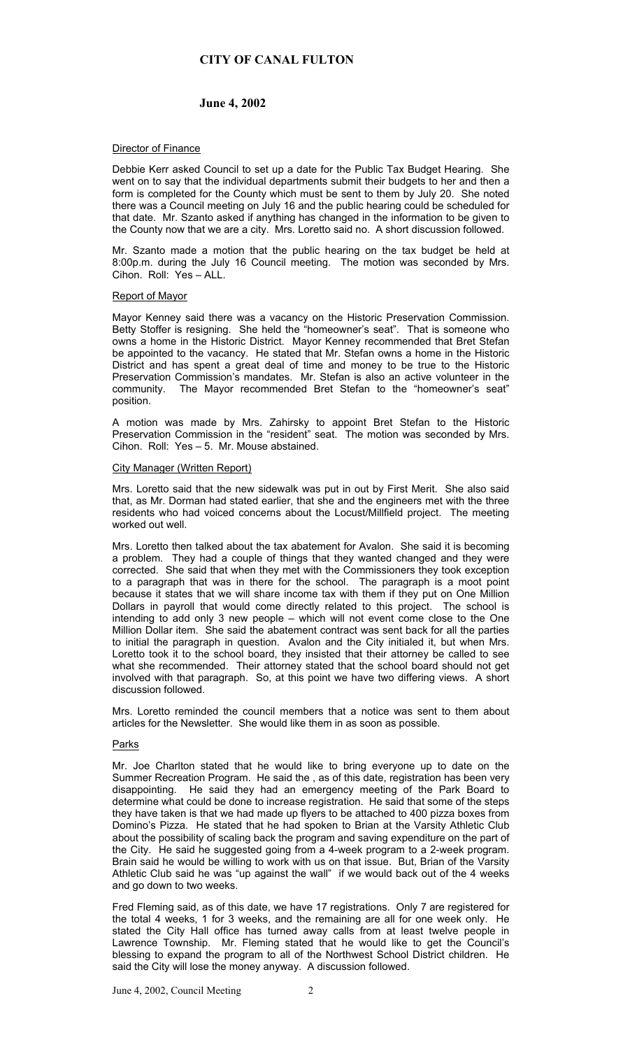# **CITY OF CANAL FULTON**

# **June 4, 2002**

### **Director of Finance**

Debbie Kerr asked Council to set up a date for the Public Tax Budget Hearing. She went on to say that the individual departments submit their budgets to her and then a form is completed for the County which must be sent to them by July 20. She noted there was a Council meeting on July 16 and the public hearing could be scheduled for that date. Mr. Szanto asked if anything has changed in the information to be given to the County now that we are a city. Mrs. Loretto said no. A short discussion followed.

Mr. Szanto made a motion that the public hearing on the tax budget be held at 8:00p.m. during the July 16 Council meeting. The motion was seconded by Mrs. Cihon. Roll: Yes – ALL.

## Report of Mayor

Mayor Kenney said there was a vacancy on the Historic Preservation Commission. Betty Stoffer is resigning. She held the "homeowner's seat". That is someone who owns a home in the Historic District. Mayor Kenney recommended that Bret Stefan be appointed to the vacancy. He stated that Mr. Stefan owns a home in the Historic District and has spent a great deal of time and money to be true to the Historic Preservation Commission's mandates. Mr. Stefan is also an active volunteer in the community. The Mayor recommended Bret Stefan to the "homeowner's seat" position.

A motion was made by Mrs. Zahirsky to appoint Bret Stefan to the Historic Preservation Commission in the "resident" seat. The motion was seconded by Mrs. Cihon. Roll: Yes – 5. Mr. Mouse abstained.

### City Manager (Written Report)

Mrs. Loretto said that the new sidewalk was put in out by First Merit. She also said that, as Mr. Dorman had stated earlier, that she and the engineers met with the three residents who had voiced concerns about the Locust/Millfield project. The meeting worked out well.

Mrs. Loretto then talked about the tax abatement for Avalon. She said it is becoming a problem. They had a couple of things that they wanted changed and they were corrected. She said that when they met with the Commissioners they took exception to a paragraph that was in there for the school. The paragraph is a moot point because it states that we will share income tax with them if they put on One Million Dollars in payroll that would come directly related to this project. The school is intending to add only 3 new people – which will not event come close to the One Million Dollar item. She said the abatement contract was sent back for all the parties to initial the paragraph in question. Avalon and the City initialed it, but when Mrs. Loretto took it to the school board, they insisted that their attorney be called to see what she recommended. Their attorney stated that the school board should not get involved with that paragraph. So, at this point we have two differing views. A short discussion followed.

Mrs. Loretto reminded the council members that a notice was sent to them about articles for the Newsletter. She would like them in as soon as possible.

#### Parks

Mr. Joe Charlton stated that he would like to bring everyone up to date on the Summer Recreation Program. He said the , as of this date, registration has been very disappointing. He said they had an emergency meeting of the Park Board to determine what could be done to increase registration. He said that some of the steps they have taken is that we had made up flyers to be attached to 400 pizza boxes from Domino's Pizza. He stated that he had spoken to Brian at the Varsity Athletic Club about the possibility of scaling back the program and saving expenditure on the part of the City. He said he suggested going from a 4-week program to a 2-week program. Brain said he would be willing to work with us on that issue. But, Brian of the Varsity Athletic Club said he was "up against the wall" if we would back out of the 4 weeks and go down to two weeks.

Fred Fleming said, as of this date, we have 17 registrations. Only 7 are registered for the total 4 weeks, 1 for 3 weeks, and the remaining are all for one week only. He stated the City Hall office has turned away calls from at least twelve people in Lawrence Township. Mr. Fleming stated that he would like to get the Council's blessing to expand the program to all of the Northwest School District children. He said the City will lose the money anyway. A discussion followed.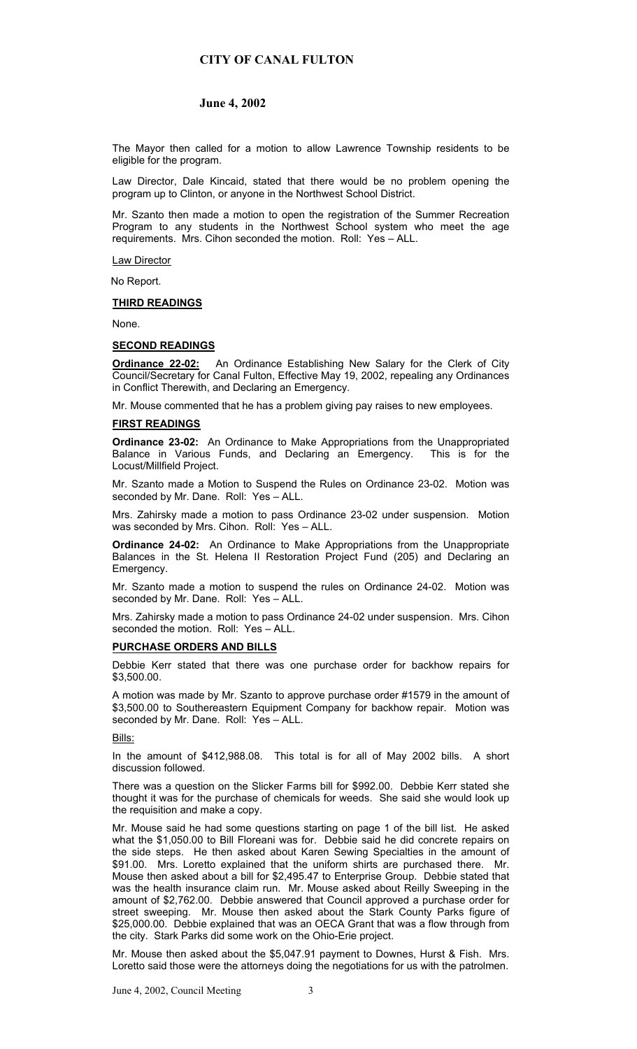# **CITY OF CANAL FULTON**

# **June 4, 2002**

The Mayor then called for a motion to allow Lawrence Township residents to be eligible for the program.

Law Director, Dale Kincaid, stated that there would be no problem opening the program up to Clinton, or anyone in the Northwest School District.

Mr. Szanto then made a motion to open the registration of the Summer Recreation Program to any students in the Northwest School system who meet the age requirements. Mrs. Cihon seconded the motion. Roll: Yes – ALL.

Law Director

No Report.

#### **THIRD READINGS**

None.

### **SECOND READINGS**

**Ordinance 22-02:** An Ordinance Establishing New Salary for the Clerk of City Council/Secretary for Canal Fulton, Effective May 19, 2002, repealing any Ordinances in Conflict Therewith, and Declaring an Emergency.

Mr. Mouse commented that he has a problem giving pay raises to new employees.

## **FIRST READINGS**

**Ordinance 23-02:** An Ordinance to Make Appropriations from the Unappropriated Balance in Various Funds, and Declaring an Emergency. This is for the Locust/Millfield Project.

Mr. Szanto made a Motion to Suspend the Rules on Ordinance 23-02. Motion was seconded by Mr. Dane. Roll: Yes - ALL.

Mrs. Zahirsky made a motion to pass Ordinance 23-02 under suspension. Motion was seconded by Mrs. Cihon. Roll: Yes – ALL.

**Ordinance 24-02:** An Ordinance to Make Appropriations from the Unappropriate Balances in the St. Helena II Restoration Project Fund (205) and Declaring an Emergency.

Mr. Szanto made a motion to suspend the rules on Ordinance 24-02. Motion was seconded by Mr. Dane. Roll: Yes – ALL.

Mrs. Zahirsky made a motion to pass Ordinance 24-02 under suspension. Mrs. Cihon seconded the motion. Roll: Yes – ALL.

## **PURCHASE ORDERS AND BILLS**

Debbie Kerr stated that there was one purchase order for backhow repairs for \$3,500.00.

A motion was made by Mr. Szanto to approve purchase order #1579 in the amount of \$3,500.00 to Southereastern Equipment Company for backhow repair. Motion was seconded by Mr. Dane. Roll: Yes – ALL.

#### Bills:

In the amount of \$412,988.08. This total is for all of May 2002 bills. A short discussion followed.

There was a question on the Slicker Farms bill for \$992.00. Debbie Kerr stated she thought it was for the purchase of chemicals for weeds. She said she would look up the requisition and make a copy.

Mr. Mouse said he had some questions starting on page 1 of the bill list. He asked what the \$1,050.00 to Bill Floreani was for. Debbie said he did concrete repairs on the side steps. He then asked about Karen Sewing Specialties in the amount of \$91.00. Mrs. Loretto explained that the uniform shirts are purchased there. Mr. Mouse then asked about a bill for \$2,495.47 to Enterprise Group. Debbie stated that was the health insurance claim run. Mr. Mouse asked about Reilly Sweeping in the amount of \$2,762.00. Debbie answered that Council approved a purchase order for street sweeping. Mr. Mouse then asked about the Stark County Parks figure of \$25,000.00. Debbie explained that was an OECA Grant that was a flow through from the city. Stark Parks did some work on the Ohio-Erie project.

Mr. Mouse then asked about the \$5,047.91 payment to Downes, Hurst & Fish. Mrs. Loretto said those were the attorneys doing the negotiations for us with the patrolmen.